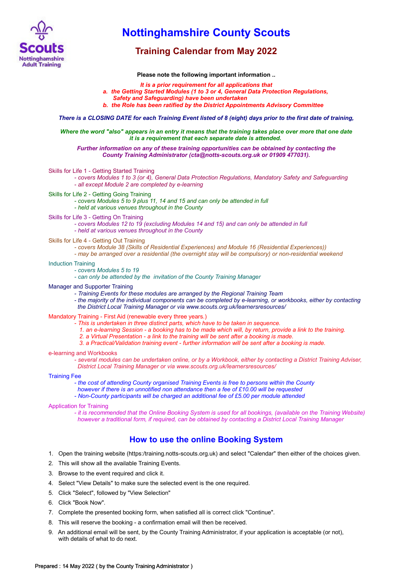

## **Nottinghamshire County Scouts**

## **Training Calendar from May 2022**

**Please note the following important information ..**

- *It is a prior requirement for all applications that*
- *a. the Getting Started Modules (1 to 3 or 4, General Data Protection Regulations,*
- *Safety and Safeguarding) have been undertaken*
- *b. the Role has been ratified by the District Appointments Advisory Committee*

*There is a CLOSING DATE for each Training Event listed of 8 (eight) days prior to the first date of training,*

*Where the word "also" appears in an entry it means that the training takes place over more that one date it is a requirement that each separate date is attended.* 

*Further information on any of these training opportunities can be obtained by contacting the County Training Administrator (cta@notts-scouts.org.uk or 01909 477031).*

Skills for Life 1 - Getting Started Training

*- covers Modules 1 to 3 (or 4), General Data Protection Regulations, Mandatory Safety and Safeguarding - all except Module 2 are completed by e-learning*

Skills for Life 2 - Getting Going Training

*- covers Modules 5 to 9 plus 11, 14 and 15 and can only be attended in full*

*- held at various venues throughout in the County*

Skills for Life 3 - Getting On Training

*- covers Modules 12 to 19 (excluding Modules 14 and 15) and can only be attended in full - held at various venues throughout in the County*

- Skills for Life 4 Getting Out Training
	- *covers Module 38 (Skills of Residential Experiences) and Module 16 (Residential Experiences))*
	- *may be arranged over a residential (the overnight stay will be compulsory) or non-residential weekend*

#### Induction Training

*- covers Modules 5 to 19*

*- can only be attended by the invitation of the County Training Manager*

#### Manager and Supporter Training

- *Training Events for these modules are arranged by the Regional Training Team*
- *the majority of the individual components can be completed by e-learning, or workbooks, either by contacting the District Local Training Manager or via www.scouts.org.uk/learnersresources/*

#### Mandatory Training - First Aid (renewable every three years.)

- *This is undertaken in three distinct parts, which have to be taken in sequence.*
	- *1. an e-learning Session a booking has to be made which will, by return, provide a link to the training.*
	- *2. a Virtual Presentation a link to the training will be sent after a booking is made.*
- *3. a Practical/Validation training event further information will be sent after a booking is made.*

e-learning and Workbooks

*- several modules can be undertaken online, or by a Workbook, either by contacting a District Training Adviser, District Local Training Manager or via www.scouts.org.uk/learnersresources/*

#### Training Fee

*- the cost of attending County organised Training Events is free to persons within the County*

- *however if there is an unnotified non attendance then a fee of £10.00 will be requested*
- *Non-County participants will be charged an additional fee of £5.00 per module attended*

#### Application for Training

*- it is recommended that the Online Booking System is used for all bookings, (available on the Training Website) however a traditional form, if required, can be obtained by contacting a District Local Training Manager*

### **How to use the online Booking System**

- 1. Open the training website (https:/training.notts-scouts.org.uk) and select "Calendar" then either of the choices given.
- 2. This will show all the available Training Events.
- 3. Browse to the event required and click it.
- 4. Select "View Details" to make sure the selected event is the one required.
- 5. Click "Select", followed by "View Selection"
- 6. Click "Book Now".
- 7. Complete the presented booking form, when satisfied all is correct click "Continue".
- 8. This will reserve the booking a confirmation email will then be received.
- 9. An additional email will be sent, by the County Training Administrator, if your application is acceptable (or not), with details of what to do next.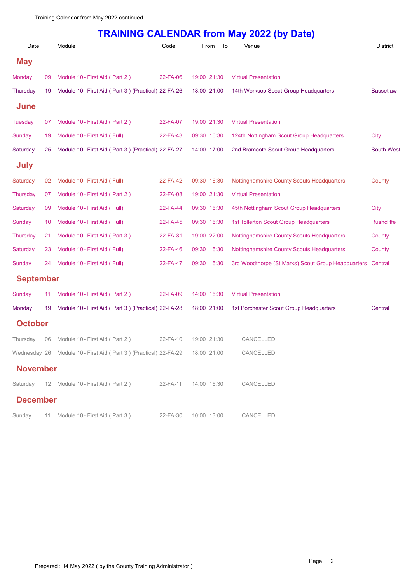# **TRAINING CALENDAR from May 2022 (by Date)**

| Date             |    | Module                                                                      | Code     | From        | To | Venue                                              | <b>District</b>   |
|------------------|----|-----------------------------------------------------------------------------|----------|-------------|----|----------------------------------------------------|-------------------|
| <b>May</b>       |    |                                                                             |          |             |    |                                                    |                   |
| Monday           | 09 | Module 10- First Aid (Part 2)                                               | 22-FA-06 | 19:00 21:30 |    | <b>Virtual Presentation</b>                        |                   |
| Thursday         | 19 | Module 10- First Aid (Part 3) (Practical) 22-FA-26                          |          | 18:00 21:00 |    | 14th Worksop Scout Group Headquarters              | <b>Bassetlaw</b>  |
| June             |    |                                                                             |          |             |    |                                                    |                   |
| Tuesday          | 07 | Module 10 - First Aid (Part 2)                                              | 22-FA-07 | 19:00 21:30 |    | <b>Virtual Presentation</b>                        |                   |
| Sunday           | 19 | Module 10 - First Aid (Full)                                                | 22-FA-43 | 09:30 16:30 |    | 124th Nottingham Scout Group Headquarters          | City              |
| Saturday         | 25 | Module 10- First Aid (Part 3) (Practical) 22-FA-27                          |          | 14:00 17:00 |    | 2nd Bramcote Scout Group Headquarters              | <b>South West</b> |
| <b>July</b>      |    |                                                                             |          |             |    |                                                    |                   |
| Saturday         | 02 | Module 10 - First Aid (Full)                                                | 22-FA-42 | 09:30 16:30 |    | <b>Nottinghamshire County Scouts Headquarters</b>  | County            |
| <b>Thursday</b>  | 07 | Module 10 - First Aid (Part 2)                                              | 22-FA-08 | 19:00 21:30 |    | <b>Virtual Presentation</b>                        |                   |
| Saturday         | 09 | Module 10- First Aid (Full)                                                 | 22-FA-44 | 09:30 16:30 |    | 45th Nottingham Scout Group Headquarters           | <b>City</b>       |
| Sunday           | 10 | Module 10 - First Aid (Full)                                                | 22-FA-45 | 09:30 16:30 |    | <b>1st Tollerton Scout Group Headquarters</b>      | <b>Rushcliffe</b> |
| Thursday         | 21 | Module 10- First Aid (Part 3)                                               | 22-FA-31 | 19:00 22:00 |    | <b>Nottinghamshire County Scouts Headquarters</b>  | County            |
| Saturday         | 23 | Module 10 - First Aid (Full)                                                | 22-FA-46 | 09:30 16:30 |    | Nottinghamshire County Scouts Headquarters         | County            |
| <b>Sunday</b>    | 24 | Module 10 - First Aid (Full)                                                | 22-FA-47 | 09:30 16:30 |    | 3rd Woodthorpe (St Marks) Scout Group Headquarters | Central           |
| <b>September</b> |    |                                                                             |          |             |    |                                                    |                   |
| Sunday           | 11 | Module 10- First Aid (Part 2)                                               | 22-FA-09 | 14:00 16:30 |    | <b>Virtual Presentation</b>                        |                   |
| Monday           | 19 | Module 10- First Aid (Part 3) (Practical) 22-FA-28                          |          | 18:00 21:00 |    | 1st Porchester Scout Group Headquarters            | Central           |
| <b>October</b>   |    |                                                                             |          |             |    |                                                    |                   |
| Thursday         | 06 | Module 10 - First Aid (Part 2)                                              | 22-FA-10 | 19:00 21:30 |    | CANCELLED                                          |                   |
|                  |    | Wednesday 26 Module 10- First Aid (Part 3) (Practical) 22-FA-29 18:00 21:00 |          |             |    | CANCELLED                                          |                   |
| <b>November</b>  |    |                                                                             |          |             |    |                                                    |                   |
|                  |    | Saturday 12 Module 10 - First Aid (Part 2)                                  | 22-FA-11 | 14:00 16:30 |    | CANCELLED                                          |                   |
| <b>December</b>  |    |                                                                             |          |             |    |                                                    |                   |
| Sunday           |    | 11 Module 10 - First Aid (Part 3)                                           | 22-FA-30 | 10:00 13:00 |    | CANCELLED                                          |                   |